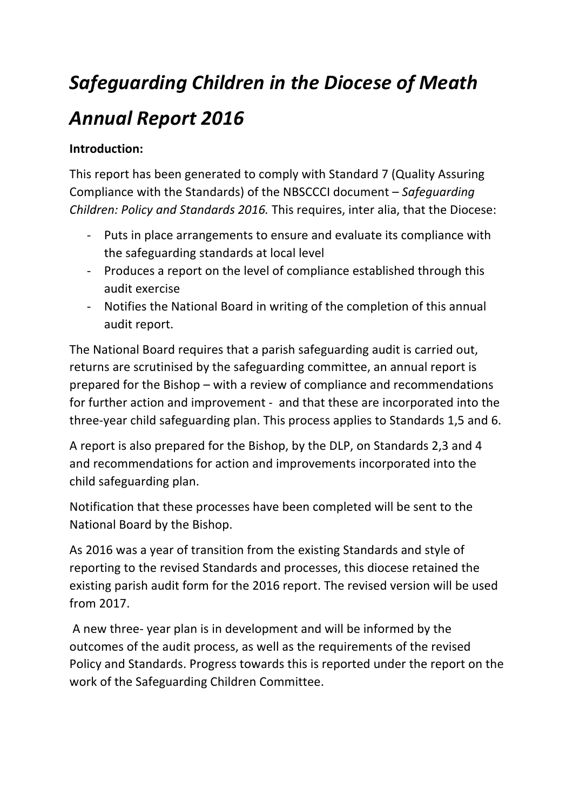# *Safeguarding Children in the Diocese of Meath*

# *Annual Report 2016*

### **Introduction:**

This report has been generated to comply with Standard 7 (Quality Assuring Compliance with the Standards) of the NBSCCCI document – Safeguarding *Children: Policy and Standards 2016.* This requires, inter alia, that the Diocese:

- Puts in place arrangements to ensure and evaluate its compliance with the safeguarding standards at local level
- Produces a report on the level of compliance established through this audit exercise
- Notifies the National Board in writing of the completion of this annual audit report.

The National Board requires that a parish safeguarding audit is carried out, returns are scrutinised by the safeguarding committee, an annual report is prepared for the Bishop  $-$  with a review of compliance and recommendations for further action and improvement - and that these are incorporated into the three-year child safeguarding plan. This process applies to Standards 1,5 and 6.

A report is also prepared for the Bishop, by the DLP, on Standards 2,3 and 4 and recommendations for action and improvements incorporated into the child safeguarding plan.

Notification that these processes have been completed will be sent to the National Board by the Bishop.

As 2016 was a year of transition from the existing Standards and style of reporting to the revised Standards and processes, this diocese retained the existing parish audit form for the 2016 report. The revised version will be used from 2017.

A new three- year plan is in development and will be informed by the outcomes of the audit process, as well as the requirements of the revised Policy and Standards. Progress towards this is reported under the report on the work of the Safeguarding Children Committee.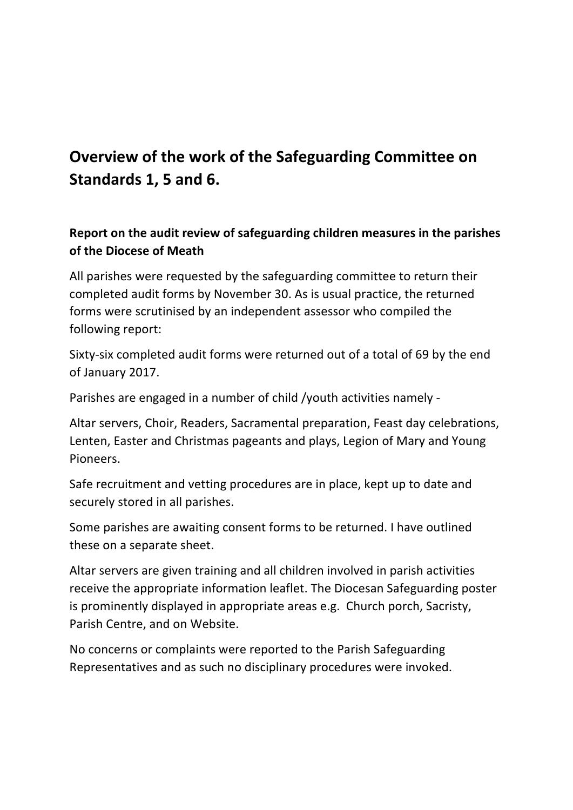# **Overview of the work of the Safeguarding Committee on Standards 1, 5 and 6.**

**Report on the audit review of safeguarding children measures in the parishes of the Diocese of Meath**

All parishes were requested by the safeguarding committee to return their completed audit forms by November 30. As is usual practice, the returned forms were scrutinised by an independent assessor who compiled the following report:

Sixty-six completed audit forms were returned out of a total of 69 by the end of January 2017.

Parishes are engaged in a number of child /youth activities namely -

Altar servers, Choir, Readers, Sacramental preparation, Feast day celebrations, Lenten, Easter and Christmas pageants and plays, Legion of Mary and Young Pioneers.

Safe recruitment and vetting procedures are in place, kept up to date and securely stored in all parishes.

Some parishes are awaiting consent forms to be returned. I have outlined these on a separate sheet.

Altar servers are given training and all children involved in parish activities receive the appropriate information leaflet. The Diocesan Safeguarding poster is prominently displayed in appropriate areas e.g. Church porch, Sacristy, Parish Centre, and on Website.

No concerns or complaints were reported to the Parish Safeguarding Representatives and as such no disciplinary procedures were invoked.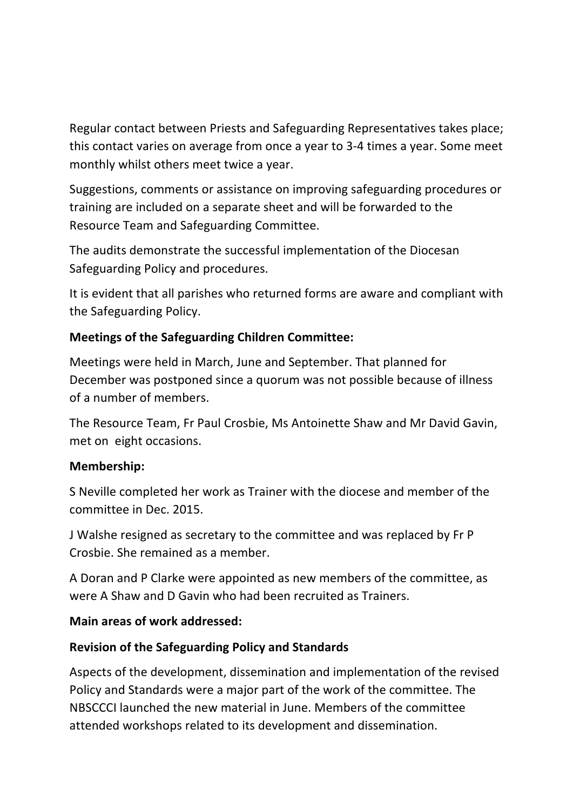Regular contact between Priests and Safeguarding Representatives takes place; this contact varies on average from once a year to 3-4 times a year. Some meet monthly whilst others meet twice a year.

Suggestions, comments or assistance on improving safeguarding procedures or training are included on a separate sheet and will be forwarded to the Resource Team and Safeguarding Committee.

The audits demonstrate the successful implementation of the Diocesan Safeguarding Policy and procedures.

It is evident that all parishes who returned forms are aware and compliant with the Safeguarding Policy.

#### **Meetings of the Safeguarding Children Committee:**

Meetings were held in March, June and September. That planned for December was postponed since a quorum was not possible because of illness of a number of members.

The Resource Team, Fr Paul Crosbie, Ms Antoinette Shaw and Mr David Gavin, met on eight occasions.

#### **Membership:**

S Neville completed her work as Trainer with the diocese and member of the committee in Dec. 2015.

J Walshe resigned as secretary to the committee and was replaced by Fr P Crosbie. She remained as a member.

A Doran and P Clarke were appointed as new members of the committee, as were A Shaw and D Gavin who had been recruited as Trainers.

#### **Main areas of work addressed:**

#### **Revision of the Safeguarding Policy and Standards**

Aspects of the development, dissemination and implementation of the revised Policy and Standards were a major part of the work of the committee. The NBSCCCI launched the new material in June. Members of the committee attended workshops related to its development and dissemination.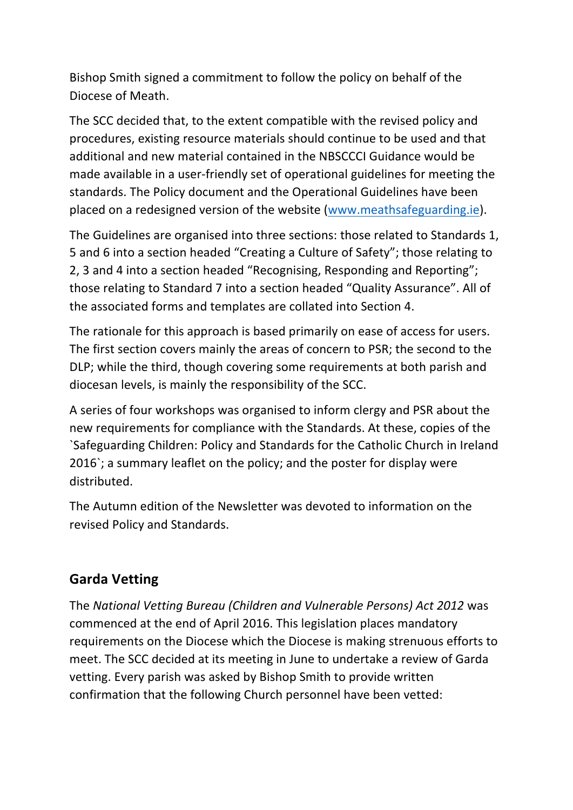Bishop Smith signed a commitment to follow the policy on behalf of the Diocese of Meath.

The SCC decided that, to the extent compatible with the revised policy and procedures, existing resource materials should continue to be used and that additional and new material contained in the NBSCCCI Guidance would be made available in a user-friendly set of operational guidelines for meeting the standards. The Policy document and the Operational Guidelines have been placed on a redesigned version of the website (www.meathsafeguarding.ie).

The Guidelines are organised into three sections: those related to Standards 1, 5 and 6 into a section headed "Creating a Culture of Safety"; those relating to 2, 3 and 4 into a section headed "Recognising, Responding and Reporting"; those relating to Standard 7 into a section headed "Quality Assurance". All of the associated forms and templates are collated into Section 4.

The rationale for this approach is based primarily on ease of access for users. The first section covers mainly the areas of concern to PSR; the second to the DLP; while the third, though covering some requirements at both parish and diocesan levels, is mainly the responsibility of the SCC.

A series of four workshops was organised to inform clergy and PSR about the new requirements for compliance with the Standards. At these, copies of the `Safeguarding Children: Policy and Standards for the Catholic Church in Ireland 2016`; a summary leaflet on the policy; and the poster for display were distributed.

The Autumn edition of the Newsletter was devoted to information on the revised Policy and Standards.

## **Garda Vetting**

The National Vetting Bureau (Children and Vulnerable Persons) Act 2012 was commenced at the end of April 2016. This legislation places mandatory requirements on the Diocese which the Diocese is making strenuous efforts to meet. The SCC decided at its meeting in June to undertake a review of Garda vetting. Every parish was asked by Bishop Smith to provide written confirmation that the following Church personnel have been vetted: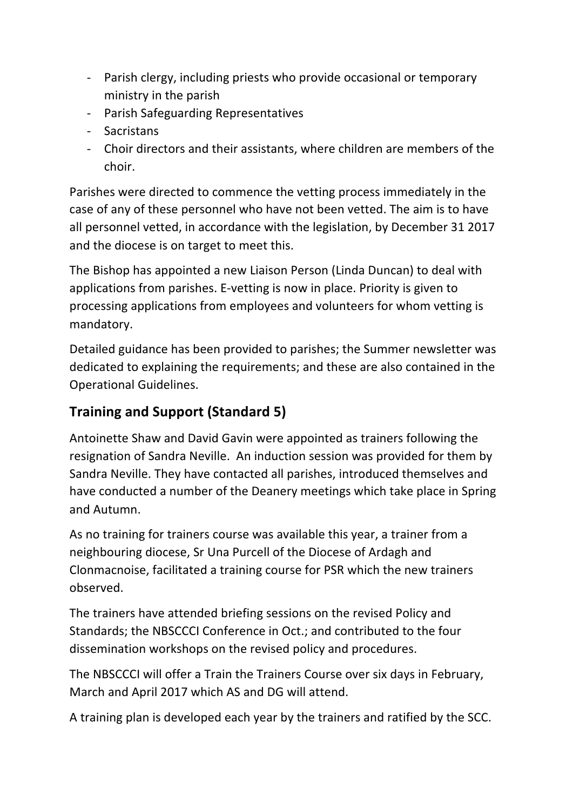- Parish clergy, including priests who provide occasional or temporary ministry in the parish
- Parish Safeguarding Representatives
- Sacristans
- Choir directors and their assistants, where children are members of the choir.

Parishes were directed to commence the vetting process immediately in the case of any of these personnel who have not been vetted. The aim is to have all personnel vetted, in accordance with the legislation, by December 31 2017 and the diocese is on target to meet this.

The Bishop has appointed a new Liaison Person (Linda Duncan) to deal with applications from parishes. E-vetting is now in place. Priority is given to processing applications from employees and volunteers for whom vetting is mandatory.

Detailed guidance has been provided to parishes; the Summer newsletter was dedicated to explaining the requirements; and these are also contained in the Operational Guidelines.

# **Training and Support (Standard 5)**

Antoinette Shaw and David Gavin were appointed as trainers following the resignation of Sandra Neville. An induction session was provided for them by Sandra Neville. They have contacted all parishes, introduced themselves and have conducted a number of the Deanery meetings which take place in Spring and Autumn.

As no training for trainers course was available this year, a trainer from a neighbouring diocese, Sr Una Purcell of the Diocese of Ardagh and Clonmacnoise, facilitated a training course for PSR which the new trainers observed. 

The trainers have attended briefing sessions on the revised Policy and Standards; the NBSCCCI Conference in Oct.; and contributed to the four dissemination workshops on the revised policy and procedures.

The NBSCCCI will offer a Train the Trainers Course over six days in February, March and April 2017 which AS and DG will attend.

A training plan is developed each year by the trainers and ratified by the SCC.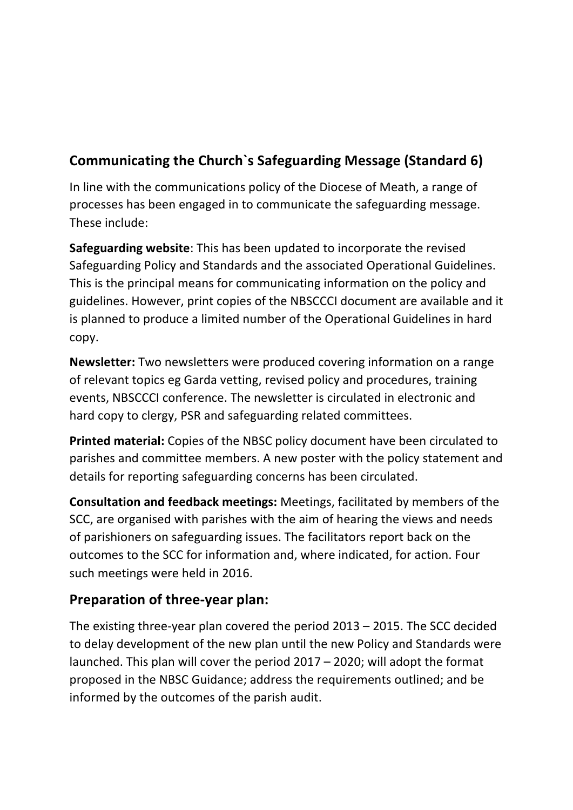# **Communicating the Church`s Safeguarding Message (Standard 6)**

In line with the communications policy of the Diocese of Meath, a range of processes has been engaged in to communicate the safeguarding message. These include:

**Safeguarding website:** This has been updated to incorporate the revised Safeguarding Policy and Standards and the associated Operational Guidelines. This is the principal means for communicating information on the policy and guidelines. However, print copies of the NBSCCCI document are available and it is planned to produce a limited number of the Operational Guidelines in hard copy.

**Newsletter:** Two newsletters were produced covering information on a range of relevant topics eg Garda vetting, revised policy and procedures, training events, NBSCCCI conference. The newsletter is circulated in electronic and hard copy to clergy, PSR and safeguarding related committees.

**Printed material:** Copies of the NBSC policy document have been circulated to parishes and committee members. A new poster with the policy statement and details for reporting safeguarding concerns has been circulated.

**Consultation and feedback meetings:** Meetings, facilitated by members of the SCC, are organised with parishes with the aim of hearing the views and needs of parishioners on safeguarding issues. The facilitators report back on the outcomes to the SCC for information and, where indicated, for action. Four such meetings were held in 2016.

### **Preparation of three-year plan:**

The existing three-year plan covered the period  $2013 - 2015$ . The SCC decided to delay development of the new plan until the new Policy and Standards were launched. This plan will cover the period  $2017 - 2020$ ; will adopt the format proposed in the NBSC Guidance; address the requirements outlined; and be informed by the outcomes of the parish audit.